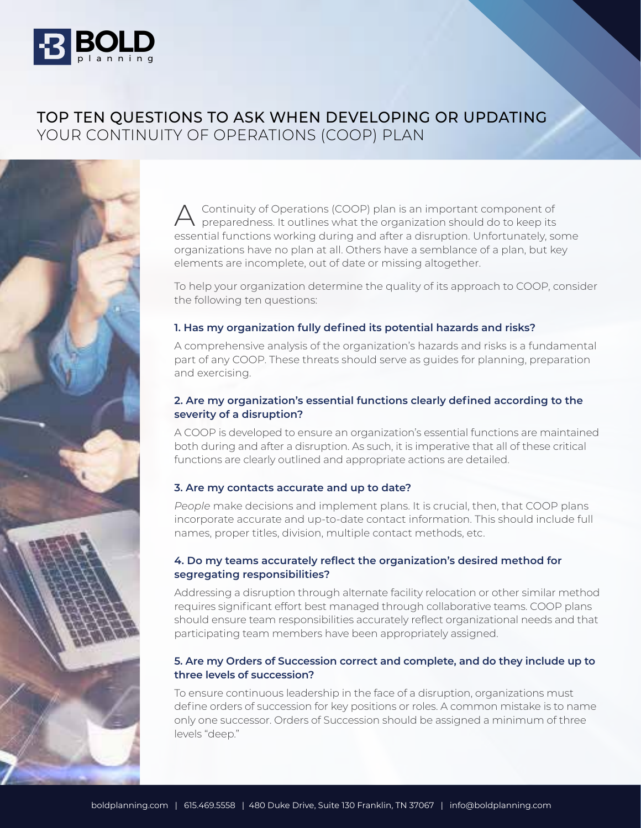

# TOP TEN QUESTIONS TO ASK WHEN DEVELOPING OR UPDATING YOUR CONTINUITY OF OPERATIONS (COOP) PLAN



To help your organization determine the quality of its approach to COOP, consider the following ten questions:

#### **1. Has my organization fully defined its potential hazards and risks?**

A comprehensive analysis of the organization's hazards and risks is a fundamental part of any COOP. These threats should serve as guides for planning, preparation and exercising.

#### **2. Are my organization's essential functions clearly defined according to the severity of a disruption?**

A COOP is developed to ensure an organization's essential functions are maintained both during and after a disruption. As such, it is imperative that all of these critical functions are clearly outlined and appropriate actions are detailed.

#### **3. Are my contacts accurate and up to date?**

*People* make decisions and implement plans. It is crucial, then, that COOP plans incorporate accurate and up-to-date contact information. This should include full names, proper titles, division, multiple contact methods, etc.

#### **4. Do my teams accurately reflect the organization's desired method for segregating responsibilities?**

Addressing a disruption through alternate facility relocation or other similar method requires significant effort best managed through collaborative teams. COOP plans should ensure team responsibilities accurately reflect organizational needs and that participating team members have been appropriately assigned.

#### **5. Are my Orders of Succession correct and complete, and do they include up to three levels of succession?**

To ensure continuous leadership in the face of a disruption, organizations must define orders of succession for key positions or roles. A common mistake is to name only one successor. Orders of Succession should be assigned a minimum of three levels "deep."